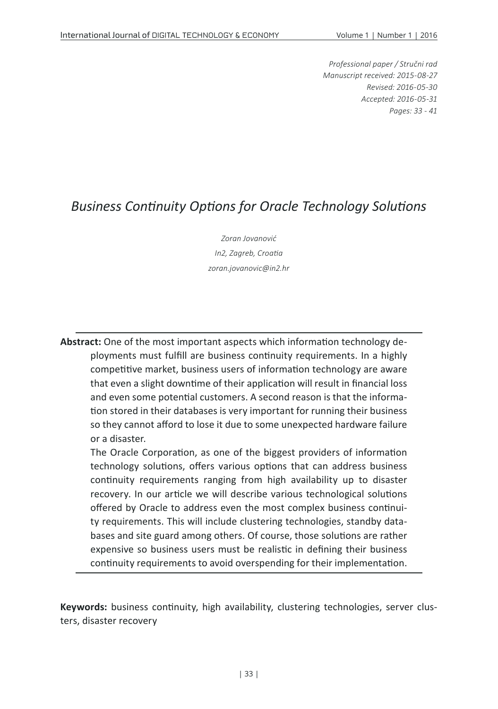*Professional paper / Stručni rad Manuscript received: 2015-08-27 Revised: 2016-05-30 Accepted: 2016-05-31 Pages: 33 - 41*

## *Business Continuity Options for Oracle Technology Solutions*

*Zoran Jovanović In2, Zagreb, Croatia zoran.jovanovic@in2.hr*

**Abstract:** One of the most important aspects which information technology deployments must fulfill are business continuity requirements. In a highly competitive market, business users of information technology are aware that even a slight downtime of their application will result in financial loss and even some potential customers. A second reason is that the information stored in their databases is very important for running their business so they cannot afford to lose it due to some unexpected hardware failure or a disaster.

The Oracle Corporation, as one of the biggest providers of information technology solutions, offers various options that can address business continuity requirements ranging from high availability up to disaster recovery. In our article we will describe various technological solutions offered by Oracle to address even the most complex business continuity requirements. This will include clustering technologies, standby databases and site guard among others. Of course, those solutions are rather expensive so business users must be realistic in defining their business continuity requirements to avoid overspending for their implementation.

**Keywords:** business continuity, high availability, clustering technologies, server clusters, disaster recovery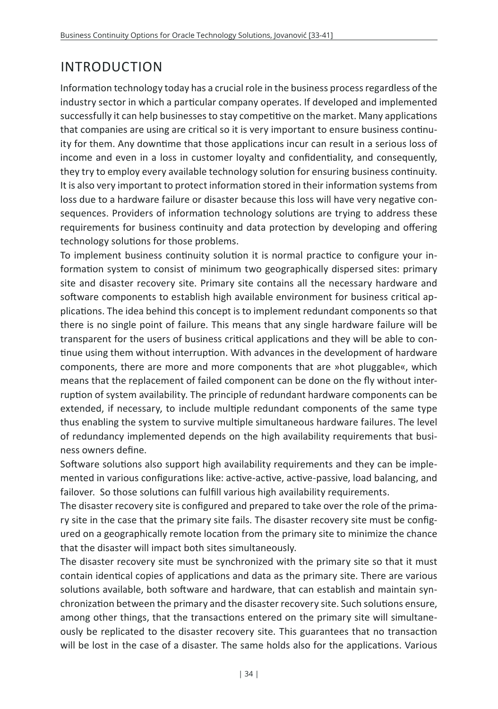# INTRODUCTION

Information technology today has a crucial role in the business process regardless of the industry sector in which a particular company operates. If developed and implemented successfully it can help businesses to stay competitive on the market. Many applications that companies are using are critical so it is very important to ensure business continuity for them. Any downtime that those applications incur can result in a serious loss of income and even in a loss in customer loyalty and confidentiality, and consequently, they try to employ every available technology solution for ensuring business continuity. It is also very important to protect information stored in their information systems from loss due to a hardware failure or disaster because this loss will have very negative consequences. Providers of information technology solutions are trying to address these requirements for business continuity and data protection by developing and offering technology solutions for those problems.

To implement business continuity solution it is normal practice to configure your information system to consist of minimum two geographically dispersed sites: primary site and disaster recovery site. Primary site contains all the necessary hardware and software components to establish high available environment for business critical applications. The idea behind this concept is to implement redundant components so that there is no single point of failure. This means that any single hardware failure will be transparent for the users of business critical applications and they will be able to continue using them without interruption. With advances in the development of hardware components, there are more and more components that are »hot pluggable«, which means that the replacement of failed component can be done on the fly without interruption of system availability. The principle of redundant hardware components can be extended, if necessary, to include multiple redundant components of the same type thus enabling the system to survive multiple simultaneous hardware failures. The level of redundancy implemented depends on the high availability requirements that business owners define.

Software solutions also support high availability requirements and they can be implemented in various configurations like: active-active, active-passive, load balancing, and failover. So those solutions can fulfill various high availability requirements.

The disaster recovery site is configured and prepared to take over the role of the primary site in the case that the primary site fails. The disaster recovery site must be configured on a geographically remote location from the primary site to minimize the chance that the disaster will impact both sites simultaneously.

The disaster recovery site must be synchronized with the primary site so that it must contain identical copies of applications and data as the primary site. There are various solutions available, both software and hardware, that can establish and maintain synchronization between the primary and the disaster recovery site. Such solutions ensure, among other things, that the transactions entered on the primary site will simultaneously be replicated to the disaster recovery site. This guarantees that no transaction will be lost in the case of a disaster. The same holds also for the applications. Various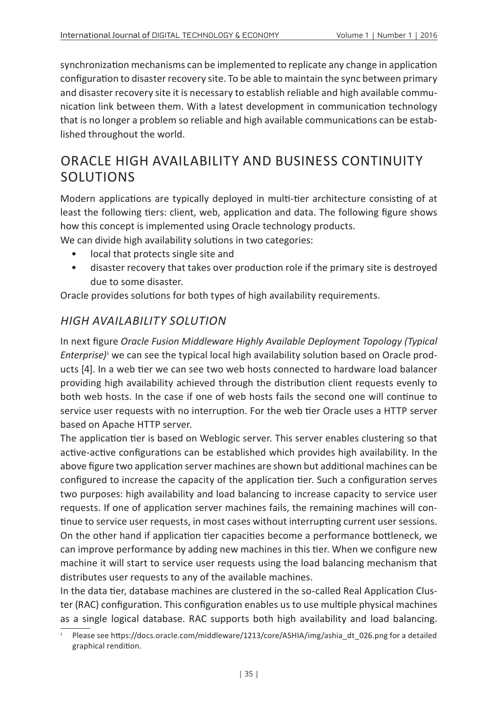synchronization mechanisms can be implemented to replicate any change in application configuration to disaster recovery site. To be able to maintain the sync between primary and disaster recovery site it is necessary to establish reliable and high available communication link between them. With a latest development in communication technology that is no longer a problem so reliable and high available communications can be established throughout the world.

## ORACLE HIGH AVAILABILITY AND BUSINESS CONTINUITY SOLUTIONS

Modern applications are typically deployed in multi-tier architecture consisting of at least the following tiers: client, web, application and data. The following figure shows how this concept is implemented using Oracle technology products.

We can divide high availability solutions in two categories:

- local that protects single site and
- disaster recovery that takes over production role if the primary site is destroyed due to some disaster.

Oracle provides solutions for both types of high availability requirements.

#### *HIGH AVAILABILITY SOLUTION*

In next figure *Oracle Fusion Middleware Highly Available Deployment Topology (Typical*  Enterprise)<sup>1</sup> we can see the typical local high availability solution based on Oracle products [4]. In a web tier we can see two web hosts connected to hardware load balancer providing high availability achieved through the distribution client requests evenly to both web hosts. In the case if one of web hosts fails the second one will continue to service user requests with no interruption. For the web tier Oracle uses a HTTP server based on Apache HTTP server.

The application tier is based on Weblogic server. This server enables clustering so that active-active configurations can be established which provides high availability. In the above figure two application server machines are shown but additional machines can be configured to increase the capacity of the application tier. Such a configuration serves two purposes: high availability and load balancing to increase capacity to service user requests. If one of application server machines fails, the remaining machines will continue to service user requests, in most cases without interrupting current user sessions. On the other hand if application tier capacities become a performance bottleneck, we can improve performance by adding new machines in this tier. When we configure new machine it will start to service user requests using the load balancing mechanism that distributes user requests to any of the available machines.

In the data tier, database machines are clustered in the so-called Real Application Cluster (RAC) configuration. This configuration enables us to use multiple physical machines as a single logical database. RAC supports both high availability and load balancing.

<sup>1</sup> Please see https://docs.oracle.com/middleware/1213/core/ASHIA/img/ashia\_dt\_026.png for a detailed graphical rendition.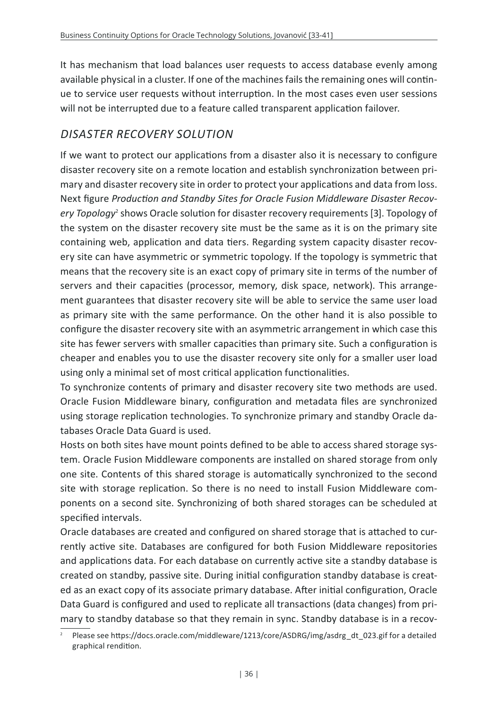It has mechanism that load balances user requests to access database evenly among available physical in a cluster. If one of the machines fails the remaining ones will continue to service user requests without interruption. In the most cases even user sessions will not be interrupted due to a feature called transparent application failover.

#### *DISASTER RECOVERY SOLUTION*

If we want to protect our applications from a disaster also it is necessary to configure disaster recovery site on a remote location and establish synchronization between primary and disaster recovery site in order to protect your applications and data from loss. Next figure *Production and Standby Sites for Oracle Fusion Middleware Disaster Recovery Topology<sup>2</sup>* shows Oracle solution for disaster recovery requirements [3]. Topology of the system on the disaster recovery site must be the same as it is on the primary site containing web, application and data tiers. Regarding system capacity disaster recovery site can have asymmetric or symmetric topology. If the topology is symmetric that means that the recovery site is an exact copy of primary site in terms of the number of servers and their capacities (processor, memory, disk space, network). This arrangement guarantees that disaster recovery site will be able to service the same user load as primary site with the same performance. On the other hand it is also possible to configure the disaster recovery site with an asymmetric arrangement in which case this site has fewer servers with smaller capacities than primary site. Such a configuration is cheaper and enables you to use the disaster recovery site only for a smaller user load using only a minimal set of most critical application functionalities.

To synchronize contents of primary and disaster recovery site two methods are used. Oracle Fusion Middleware binary, configuration and metadata files are synchronized using storage replication technologies. To synchronize primary and standby Oracle databases Oracle Data Guard is used.

Hosts on both sites have mount points defined to be able to access shared storage system. Oracle Fusion Middleware components are installed on shared storage from only one site. Contents of this shared storage is automatically synchronized to the second site with storage replication. So there is no need to install Fusion Middleware components on a second site. Synchronizing of both shared storages can be scheduled at specified intervals.

Oracle databases are created and configured on shared storage that is attached to currently active site. Databases are configured for both Fusion Middleware repositories and applications data. For each database on currently active site a standby database is created on standby, passive site. During initial configuration standby database is created as an exact copy of its associate primary database. After initial configuration, Oracle Data Guard is configured and used to replicate all transactions (data changes) from primary to standby database so that they remain in sync. Standby database is in a recov-

<sup>2</sup> Please see https://docs.oracle.com/middleware/1213/core/ASDRG/img/asdrg\_dt\_023.gif for a detailed graphical rendition.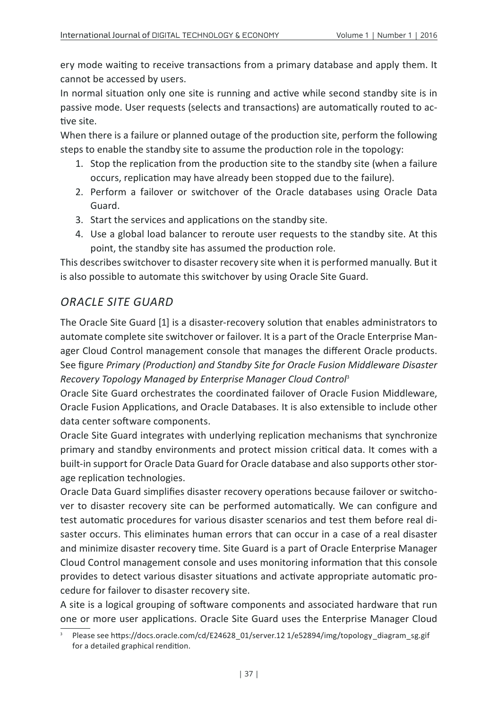ery mode waiting to receive transactions from a primary database and apply them. It cannot be accessed by users.

In normal situation only one site is running and active while second standby site is in passive mode. User requests (selects and transactions) are automatically routed to active site.

When there is a failure or planned outage of the production site, perform the following steps to enable the standby site to assume the production role in the topology:

- 1. Stop the replication from the production site to the standby site (when a failure occurs, replication may have already been stopped due to the failure).
- 2. Perform a failover or switchover of the Oracle databases using Oracle Data Guard.
- 3. Start the services and applications on the standby site.
- 4. Use a global load balancer to reroute user requests to the standby site. At this point, the standby site has assumed the production role.

This describes switchover to disaster recovery site when it is performed manually. But it is also possible to automate this switchover by using Oracle Site Guard.

### *ORACLE SITE GUARD*

The Oracle Site Guard [1] is a disaster-recovery solution that enables administrators to automate complete site switchover or failover. It is a part of the Oracle Enterprise Manager Cloud Control management console that manages the different Oracle products. See figure *Primary (Production) and Standby Site for Oracle Fusion Middleware Disaster Recovery Topology Managed by Enterprise Manager Cloud Control*<sup>3</sup>

Oracle Site Guard orchestrates the coordinated failover of Oracle Fusion Middleware, Oracle Fusion Applications, and Oracle Databases. It is also extensible to include other data center software components.

Oracle Site Guard integrates with underlying replication mechanisms that synchronize primary and standby environments and protect mission critical data. It comes with a built-in support for Oracle Data Guard for Oracle database and also supports other storage replication technologies.

Oracle Data Guard simplifies disaster recovery operations because failover or switchover to disaster recovery site can be performed automatically. We can configure and test automatic procedures for various disaster scenarios and test them before real disaster occurs. This eliminates human errors that can occur in a case of a real disaster and minimize disaster recovery time. Site Guard is a part of Oracle Enterprise Manager Cloud Control management console and uses monitoring information that this console provides to detect various disaster situations and activate appropriate automatic procedure for failover to disaster recovery site.

A site is a logical grouping of software components and associated hardware that run one or more user applications. Oracle Site Guard uses the Enterprise Manager Cloud

<sup>3</sup> Please see https://docs.oracle.com/cd/E24628\_01/server.12 1/e52894/img/topology\_diagram\_sg.gif for a detailed graphical rendition.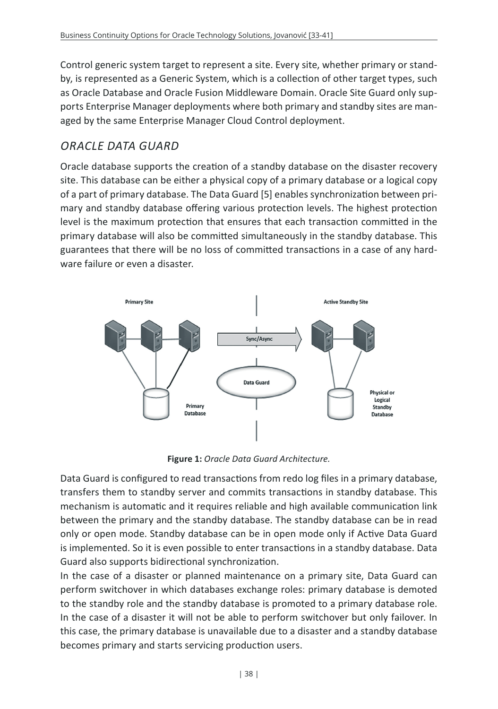Control generic system target to represent a site. Every site, whether primary or standby, is represented as a Generic System, which is a collection of other target types, such as Oracle Database and Oracle Fusion Middleware Domain. Oracle Site Guard only supports Enterprise Manager deployments where both primary and standby sites are managed by the same Enterprise Manager Cloud Control deployment.

#### *ORACLE DATA GUARD*

Oracle database supports the creation of a standby database on the disaster recovery site. This database can be either a physical copy of a primary database or a logical copy of a part of primary database. The Data Guard [5] enables synchronization between primary and standby database offering various protection levels. The highest protection level is the maximum protection that ensures that each transaction committed in the primary database will also be committed simultaneously in the standby database. This guarantees that there will be no loss of committed transactions in a case of any hardware failure or even a disaster.



**Figure 1:** *Oracle Data Guard Architecture.*

Data Guard is configured to read transactions from redo log files in a primary database, transfers them to standby server and commits transactions in standby database. This mechanism is automatic and it requires reliable and high available communication link between the primary and the standby database. The standby database can be in read only or open mode. Standby database can be in open mode only if Active Data Guard is implemented. So it is even possible to enter transactions in a standby database. Data Guard also supports bidirectional synchronization.

In the case of a disaster or planned maintenance on a primary site, Data Guard can perform switchover in which databases exchange roles: primary database is demoted to the standby role and the standby database is promoted to a primary database role. In the case of a disaster it will not be able to perform switchover but only failover. In this case, the primary database is unavailable due to a disaster and a standby database becomes primary and starts servicing production users.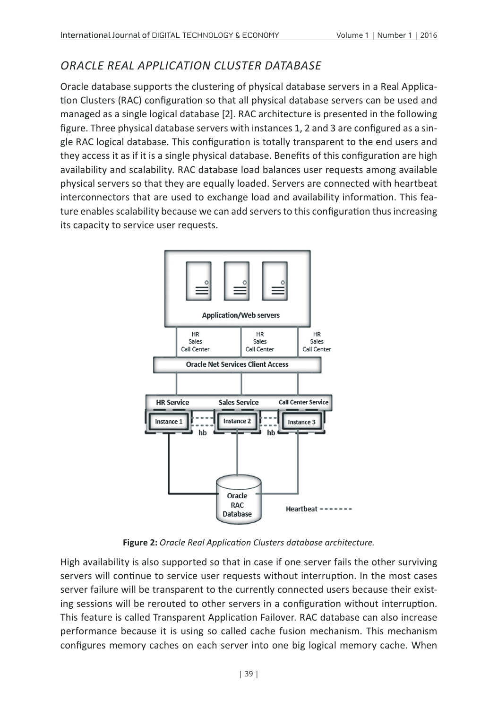### *ORACLE REAL APPLICATION CLUSTER DATABASE*

Oracle database supports the clustering of physical database servers in a Real Application Clusters (RAC) configuration so that all physical database servers can be used and managed as a single logical database [2]. RAC architecture is presented in the following figure. Three physical database servers with instances 1, 2 and 3 are configured as a single RAC logical database. This configuration is totally transparent to the end users and they access it as if it is a single physical database. Benefits of this configuration are high availability and scalability. RAC database load balances user requests among available physical servers so that they are equally loaded. Servers are connected with heartbeat interconnectors that are used to exchange load and availability information. This feature enables scalability because we can add servers to this configuration thus increasing its capacity to service user requests.



**Figure 2:** *Oracle Real Application Clusters database architecture.*

High availability is also supported so that in case if one server fails the other surviving servers will continue to service user requests without interruption. In the most cases server failure will be transparent to the currently connected users because their existing sessions will be rerouted to other servers in a configuration without interruption. This feature is called Transparent Application Failover. RAC database can also increase performance because it is using so called cache fusion mechanism. This mechanism configures memory caches on each server into one big logical memory cache. When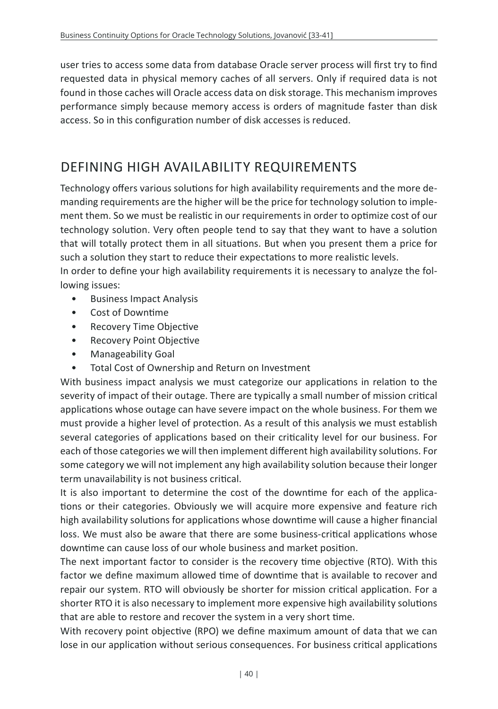user tries to access some data from database Oracle server process will first try to find requested data in physical memory caches of all servers. Only if required data is not found in those caches will Oracle access data on disk storage. This mechanism improves performance simply because memory access is orders of magnitude faster than disk access. So in this configuration number of disk accesses is reduced.

# DEFINING HIGH AVAILABILITY REQUIREMENTS

Technology offers various solutions for high availability requirements and the more demanding requirements are the higher will be the price for technology solution to implement them. So we must be realistic in our requirements in order to optimize cost of our technology solution. Very often people tend to say that they want to have a solution that will totally protect them in all situations. But when you present them a price for such a solution they start to reduce their expectations to more realistic levels. In order to define your high availability requirements it is necessary to analyze the fol-

lowing issues:

- Business Impact Analysis
- Cost of Downtime
- Recovery Time Objective
- Recovery Point Objective
- Manageability Goal
- Total Cost of Ownership and Return on Investment

With business impact analysis we must categorize our applications in relation to the severity of impact of their outage. There are typically a small number of mission critical applications whose outage can have severe impact on the whole business. For them we must provide a higher level of protection. As a result of this analysis we must establish several categories of applications based on their criticality level for our business. For each of those categories we will then implement different high availability solutions. For some category we will not implement any high availability solution because their longer term unavailability is not business critical.

It is also important to determine the cost of the downtime for each of the applications or their categories. Obviously we will acquire more expensive and feature rich high availability solutions for applications whose downtime will cause a higher financial loss. We must also be aware that there are some business-critical applications whose downtime can cause loss of our whole business and market position.

The next important factor to consider is the recovery time objective (RTO). With this factor we define maximum allowed time of downtime that is available to recover and repair our system. RTO will obviously be shorter for mission critical application. For a shorter RTO it is also necessary to implement more expensive high availability solutions that are able to restore and recover the system in a very short time.

With recovery point objective (RPO) we define maximum amount of data that we can lose in our application without serious consequences. For business critical applications